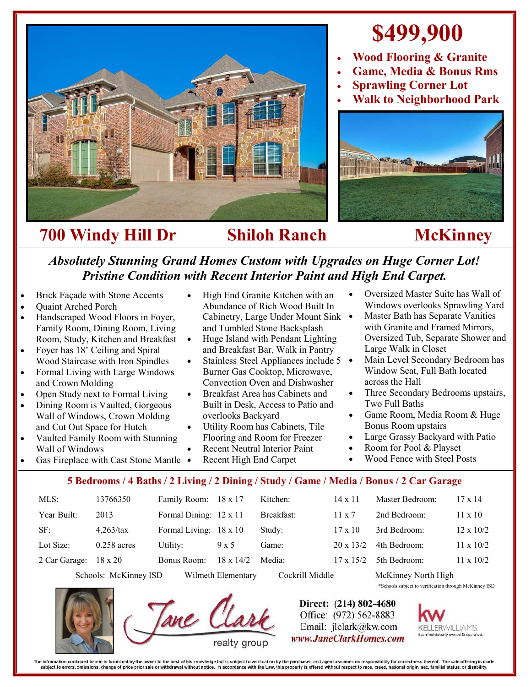

## **\$499,900**

- **Wood Flooring & Granite**
- **Game, Media & Bonus Rms**
- **Sprawling Corner Lot**
- **Walk to Neighborhood Park**



## *Absolutely Stunning Grand Homes Custom with Upgrades on Huge Corner Lot! Pristine Condition with Recent Interior Paint and High End Carpet.*

- Brick Façade with Stone Accents
- Quaint Arched Porch
- Handscraped Wood Floors in Foyer, Family Room, Dining Room, Living Room, Study, Kitchen and Breakfast
- Foyer has 18' Ceiling and Spiral Wood Staircase with Iron Spindles
- Formal Living with Large Windows and Crown Molding
- Open Study next to Formal Living
- Dining Room is Vaulted, Gorgeous Wall of Windows, Crown Molding and Cut Out Space for Hutch
- Vaulted Family Room with Stunning Wall of Windows
- High End Granite Kitchen with an Abundance of Rich Wood Built In Cabinetry, Large Under Mount Sink and Tumbled Stone Backsplash
- Huge Island with Pendant Lighting and Breakfast Bar, Walk in Pantry
- $\bullet$  Stainless Steel Appliances include 5  $\bullet$ Burner Gas Cooktop, Microwave, Convection Oven and Dishwasher
- Breakfast Area has Cabinets and Built in Desk, Access to Patio and overlooks Backyard
- Utility Room has Cabinets, Tile Flooring and Room for Freezer
- Recent Neutral Interior Paint
- Recent High End Carpet Gas Fireplace with Cast Stone Mantle .
- Oversized Master Suite has Wall of Windows overlooks Sprawling Yard
- Master Bath has Separate Vanities with Granite and Framed Mirrors, Oversized Tub, Separate Shower and Large Walk in Closet
- Main Level Secondary Bedroom has Window Seat, Full Bath located across the Hall
- Three Secondary Bedrooms upstairs, Two Full Baths
- Game Room, Media Room & Huge Bonus Room upstairs
- Large Grassy Backyard with Patio
- Room for Pool & Playset
- Wood Fence with Steel Posts

## **5 Bedrooms / 4 Baths / 2 Living / 2 Dining / Study / Game / Media / Bonus / 2 Car Garage**

| $MLS$ :                                     | 13766350       | Family Room: 18 x 17   |                  | Kitchen:        | $14 \times 11$   | Master Bedroom:     | $17 \times 14$   |
|---------------------------------------------|----------------|------------------------|------------------|-----------------|------------------|---------------------|------------------|
| Year Built:                                 | 2013           | Formal Dining: 12 x 11 |                  | Breakfast:      | $11 \times 7$    | 2nd Bedroom:        | $11 \times 10$   |
| SF:                                         | $4,263$ /tax   | Formal Living: 18 x 10 |                  | Study:          | $17 \times 10$   | 3rd Bedroom:        | $12 \times 10/2$ |
| Lot Size:                                   | $0.258$ acres  | Utility:               | 9 x 5            | Game:           | $20 \times 13/2$ | 4th Bedroom:        | $11 \times 10/2$ |
| 2 Car Garage:                               | $18 \times 20$ | Bonus Room:            | $18 \times 14/2$ | Media:          | $17 \times 15/2$ | 5th Bedroom:        | $11 \times 10/2$ |
| Schools: McKinney ISD<br>Wilmeth Elementary |                |                        |                  | Cockrill Middle |                  | McKinney North High |                  |



Direct: (214) 802-4680 Office: (972) 562-8883

Email: jlclark@kw.com www.JaneClarkHomes.com



\*Schools subject to verification through McKinney ISD